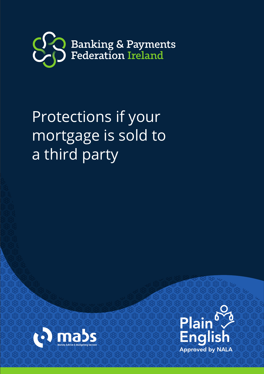

# Protections if your mortgage is sold to a third party



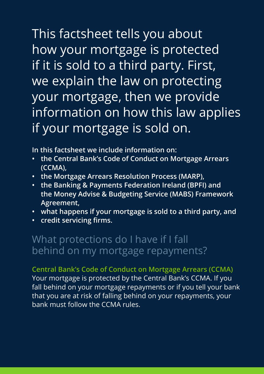This factsheet tells you about how your mortgage is protected if it is sold to a third party. First, we explain the law on protecting your mortgage, then we provide information on how this law applies if your mortgage is sold on.

**In this factsheet we include information on:**

- **the Central Bank's Code of Conduct on Mortgage Arrears (CCMA),**
- **the Mortgage Arrears Resolution Process (MARP),**
- **the Banking & Payments Federation Ireland (BPFI) and the Money Advise & Budgeting Service (MABS) Framework Agreement,**
- **what happens if your mortgage is sold to a third party, and**
- **credit servicing firms.**

### What protections do I have if I fall behind on my mortgage repayments?

**Central Bank's Code of Conduct on Mortgage Arrears (CCMA)** Your mortgage is protected by the Central Bank's CCMA. If you fall behind on your mortgage repayments or if you tell your bank that you are at risk of falling behind on your repayments, your bank must follow the CCMA rules.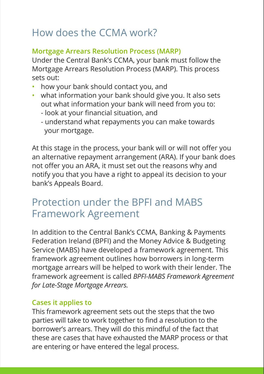# How does the CCMA work?

#### **Mortgage Arrears Resolution Process (MARP)**

Under the Central Bank's CCMA, your bank must follow the Mortgage Arrears Resolution Process (MARP). This process sets out:

- how your bank should contact you, and
- what information your bank should give you. It also sets out what information your bank will need from you to:
	- look at your financial situation, and
	- understand what repayments you can make towards your mortgage.

At this stage in the process, your bank will or will not offer you an alternative repayment arrangement (ARA). If your bank does not offer you an ARA, it must set out the reasons why and notify you that you have a right to appeal its decision to your bank's Appeals Board.

### Protection under the BPFI and MABS Framework Agreement

In addition to the Central Bank's CCMA, Banking & Payments Federation Ireland (BPFI) and the Money Advice & Budgeting Service (MABS) have developed a framework agreement. This framework agreement outlines how borrowers in long-term mortgage arrears will be helped to work with their lender. The framework agreement is called *BPFI-MABS Framework Agreement for Late-Stage Mortgage Arrears.* 

#### **Cases it applies to**

This framework agreement sets out the steps that the two parties will take to work together to find a resolution to the borrower's arrears. They will do this mindful of the fact that these are cases that have exhausted the MARP process or that are entering or have entered the legal process.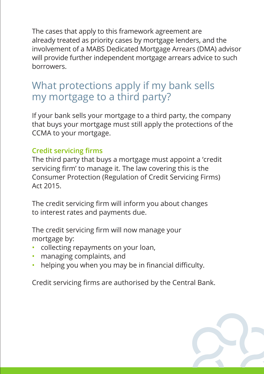The cases that apply to this framework agreement are already treated as priority cases by mortgage lenders, and the involvement of a MABS Dedicated Mortgage Arrears (DMA) advisor will provide further independent mortgage arrears advice to such borrowers.

### What protections apply if my bank sells my mortgage to a third party?

If your bank sells your mortgage to a third party, the company that buys your mortgage must still apply the protections of the CCMA to your mortgage.

#### **Credit servicing firms**

The third party that buys a mortgage must appoint a 'credit servicing firm' to manage it. The law covering this is the Consumer Protection (Regulation of Credit Servicing Firms) Act 2015.

The credit servicing firm will inform you about changes to interest rates and payments due.

The credit servicing firm will now manage your mortgage by:

- collecting repayments on your loan,
- managing complaints, and
- helping you when you may be in financial difficulty.

Credit servicing firms are authorised by the Central Bank.

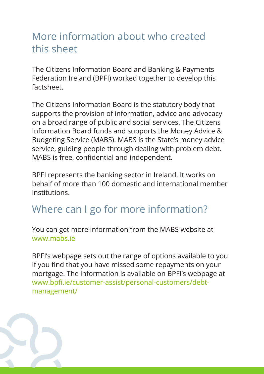# More information about who created this sheet

The Citizens Information Board and Banking & Payments Federation Ireland (BPFI) worked together to develop this factsheet.

The Citizens Information Board is the statutory body that supports the provision of information, advice and advocacy on a broad range of public and social services. The Citizens Information Board funds and supports the Money Advice & Budgeting Service (MABS). MABS is the State's money advice service, guiding people through dealing with problem debt. MABS is free, confidential and independent.

BPFI represents the banking sector in Ireland. It works on behalf of more than 100 domestic and international member institutions.

# Where can I go for more information?

You can get more information from the MABS website at www.mabs.ie

BPFI's webpage sets out the range of options available to you if you find that you have missed some repayments on your mortgage. The information is available on BPFI's webpage at www.bpfi.ie/customer-assist/personal-customers/debtmanagement/